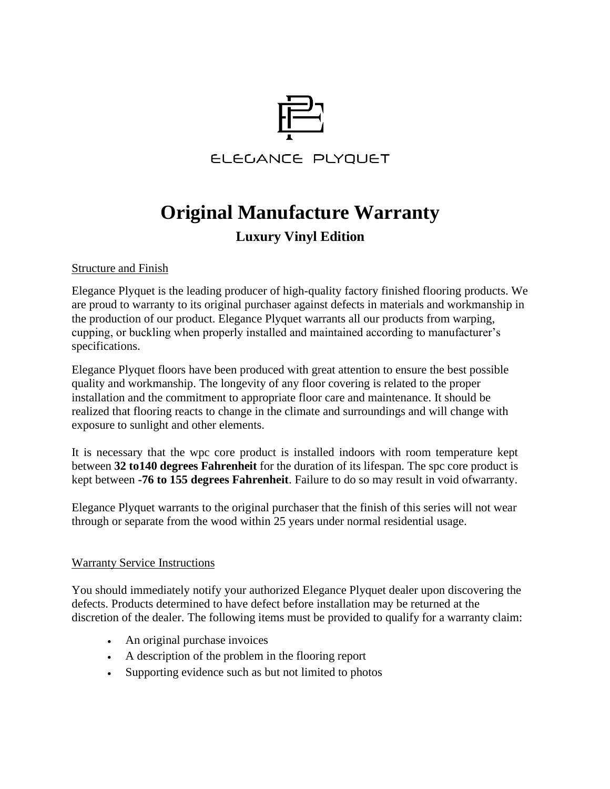

# **Original Manufacture Warranty**

## **Luxury Vinyl Edition**

### Structure and Finish

Elegance Plyquet is the leading producer of high-quality factory finished flooring products. We are proud to warranty to its original purchaser against defects in materials and workmanship in the production of our product. Elegance Plyquet warrants all our products from warping, cupping, or buckling when properly installed and maintained according to manufacturer's specifications.

Elegance Plyquet floors have been produced with great attention to ensure the best possible quality and workmanship. The longevity of any floor covering is related to the proper installation and the commitment to appropriate floor care and maintenance. It should be realized that flooring reacts to change in the climate and surroundings and will change with exposure to sunlight and other elements.

It is necessary that the wpc core product is installed indoors with room temperature kept between **32 to140 degrees Fahrenheit** for the duration of its lifespan. The spc core product is kept between **-76 to 155 degrees Fahrenheit**. Failure to do so may result in void ofwarranty.

Elegance Plyquet warrants to the original purchaser that the finish of this series will not wear through or separate from the wood within 25 years under normal residential usage.

#### Warranty Service Instructions

You should immediately notify your authorized Elegance Plyquet dealer upon discovering the defects. Products determined to have defect before installation may be returned at the discretion of the dealer. The following items must be provided to qualify for a warranty claim:

- An original purchase invoices
- A description of the problem in the flooring report
- Supporting evidence such as but not limited to photos